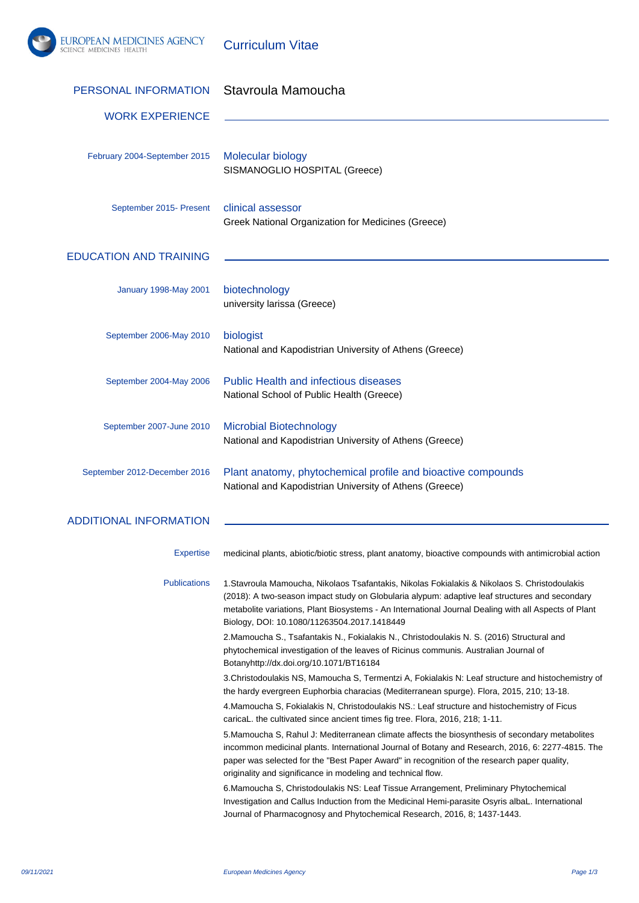

Investigation and Callus Induction from the Medicinal Hemi-parasite Osyris albaL. International Journal of Pharmacognosy and Phytochemical Research, 2016, 8; 1437-1443.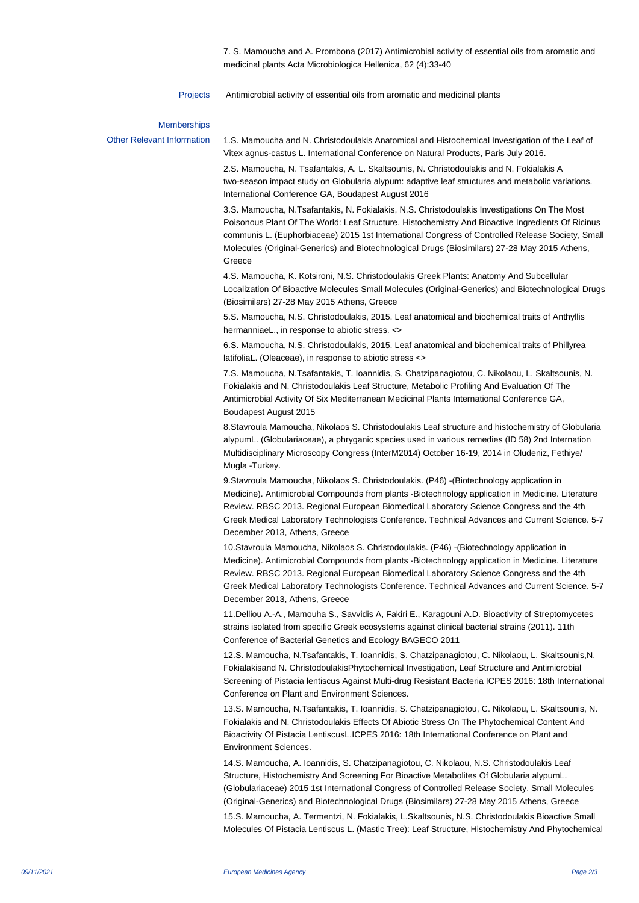7. S. Mamoucha and A. Prombona (2017) Antimicrobial activity of essential oils from aromatic and medicinal plants Acta Microbiologica Hellenica, 62 (4):33-40

Projects Antimicrobial activity of essential oils from aromatic and medicinal plants

## Memberships

Other Relevant Information 1. S. Mamoucha and N. Christodoulakis Anatomical and Histochemical Investigation of the Leaf of Vitex agnus-castus L. International Conference on Natural Products, Paris July 2016.

> 2. S. Mamoucha, N. Tsafantakis, A. L. Skaltsounis, N. Christodoulakis and N. Fokialakis A two-season impact study on Globularia alypum: adaptive leaf structures and metabolic variations. International Conference GA, Boudapest August 2016

3. S. Mamoucha, N.Tsafantakis, N. Fokialakis, N.S. Christodoulakis Investigations On The Most Poisonous Plant Of The World: Leaf Structure, Histochemistry And Bioactive Ingredients Of Ricinus communis L. (Euphorbiaceae) 2015 1st International Congress of Controlled Release Society, Small Molecules (Original-Generics) and Biotechnological Drugs (Biosimilars) 27-28 May 2015 Athens, **Greece** 

4. S. Mamoucha, K. Kotsironi, N.S. Christodoulakis Greek Plants: Anatomy And Subcellular Localization Of Bioactive Molecules Small Molecules (Original-Generics) and Biotechnological Drugs (Biosimilars) 27-28 May 2015 Athens, Greece

5. S. Mamoucha, N.S. Christodoulakis, 2015. Leaf anatomical and biochemical traits of Anthyllis hermanniaeL., in response to abiotic stress. <>

6. S. Mamoucha, N.S. Christodoulakis, 2015. Leaf anatomical and biochemical traits of Phillyrea latifoliaL. (Oleaceae), in response to abiotic stress <>

7. S. Mamoucha, N.Tsafantakis, T. Ioannidis, S. Chatzipanagiotou, C. Nikolaou, L. Skaltsounis, N. Fokialakis and N. Christodoulakis Leaf Structure, Metabolic Profiling And Evaluation Of The Antimicrobial Activity Of Six Mediterranean Medicinal Plants International Conference GA, Boudapest August 2015

8. Stavroula Mamoucha, Nikolaos S. Christodoulakis Leaf structure and histochemistry of Globularia alypumL. (Globulariaceae), a phryganic species used in various remedies (ID 58) 2nd Internation Multidisciplinary Microscopy Congress (InterM2014) October 16-19, 2014 in Oludeniz, Fethiye/ Mugla -Turkey.

9. Stavroula Mamoucha, Nikolaos S. Christodoulakis. (P46) - (Biotechnology application in Medicine). Antimicrobial Compounds from plants -Biotechnology application in Medicine. Literature Review. RBSC 2013. Regional European Biomedical Laboratory Science Congress and the 4th Greek Medical Laboratory Technologists Conference. Technical Advances and Current Science. 5-7 December 2013, Athens, Greece

10. Stavroula Mamoucha, Nikolaos S. Christodoulakis. (P46) -(Biotechnology application in Medicine). Antimicrobial Compounds from plants -Biotechnology application in Medicine. Literature Review. RBSC 2013. Regional European Biomedical Laboratory Science Congress and the 4th Greek Medical Laboratory Technologists Conference. Technical Advances and Current Science. 5-7 December 2013, Athens, Greece

11. Delliou A.-A., Mamouha S., Savvidis A, Fakiri E., Karagouni A.D. Bioactivity of Streptomycetes strains isolated from specific Greek ecosystems against clinical bacterial strains (2011). 11th Conference of Bacterial Genetics and Ecology BAGECO 2011

12. S. Mamoucha, N.Tsafantakis, T. Ioannidis, S. Chatzipanagiotou, C. Nikolaou, L. Skaltsounis,N. Fokialakisand N. ChristodoulakisPhytochemical Investigation, Leaf Structure and Antimicrobial Screening of Pistacia lentiscus Against Multi-drug Resistant Bacteria ICPES 2016: 18th International Conference on Plant and Environment Sciences.

13. S. Mamoucha, N.Tsafantakis, T. Ioannidis, S. Chatzipanagiotou, C. Nikolaou, L. Skaltsounis, N. Fokialakis and N. Christodoulakis Effects Of Abiotic Stress On The Phytochemical Content And Bioactivity Of Pistacia LentiscusL.ICPES 2016: 18th International Conference on Plant and Environment Sciences.

14. S. Mamoucha, A. Ioannidis, S. Chatzipanagiotou, C. Nikolaou, N.S. Christodoulakis Leaf Structure, Histochemistry And Screening For Bioactive Metabolites Of Globularia alypumL. (Globulariaceae) 2015 1st International Congress of Controlled Release Society, Small Molecules (Original-Generics) and Biotechnological Drugs (Biosimilars) 27-28 May 2015 Athens, Greece

15. S. Mamoucha, A. Termentzi, N. Fokialakis, L.Skaltsounis, N.S. Christodoulakis Bioactive Small Molecules Of Pistacia Lentiscus L. (Mastic Tree): Leaf Structure, Histochemistry And Phytochemical